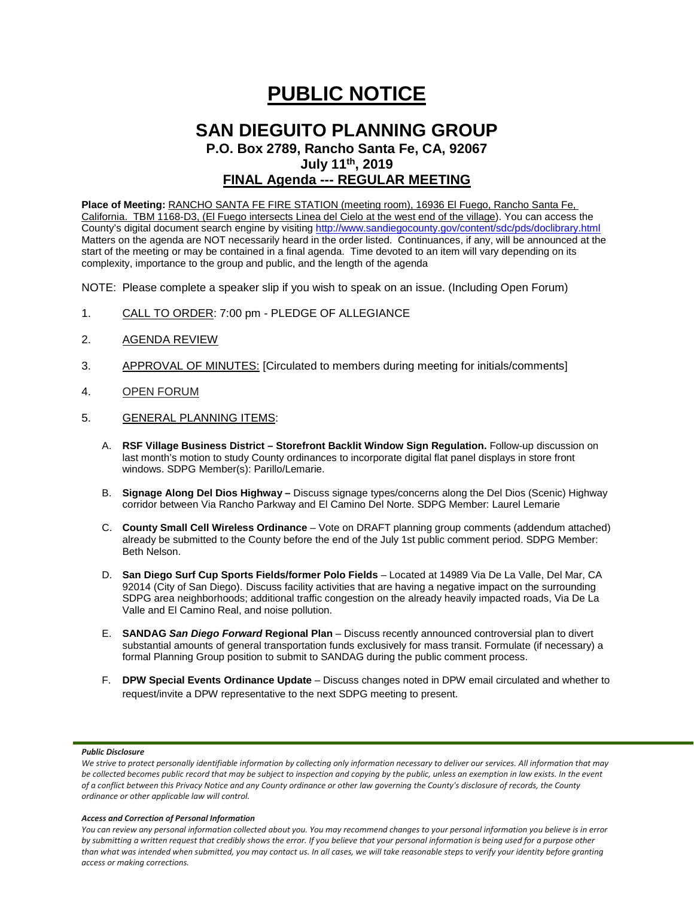# **PUBLIC NOTICE**

# **SAN DIEGUITO PLANNING GROUP**

**P.O. Box 2789, Rancho Santa Fe, CA, 92067 July 11th, 2019**

# **FINAL Agenda --- REGULAR MEETING**

**Place of Meeting:** RANCHO SANTA FE FIRE STATION (meeting room), 16936 El Fuego, Rancho Santa Fe, California. TBM 1168-D3, (El Fuego intersects Linea del Cielo at the west end of the village). You can access the County's digital document search engine by visitin[g http://www.sandiegocounty.gov/content/sdc/pds/doclibrary.html](http://www.sandiegocounty.gov/content/sdc/pds/doclibrary.html) Matters on the agenda are NOT necessarily heard in the order listed. Continuances, if any, will be announced at the start of the meeting or may be contained in a final agenda. Time devoted to an item will vary depending on its complexity, importance to the group and public, and the length of the agenda

NOTE: Please complete a speaker slip if you wish to speak on an issue. (Including Open Forum)

- 1. CALL TO ORDER: 7:00 pm PLEDGE OF ALLEGIANCE
- 2. AGENDA REVIEW
- 3. APPROVAL OF MINUTES: [Circulated to members during meeting for initials/comments]
- 4. OPEN FORUM
- 5. GENERAL PLANNING ITEMS:
	- A. **RSF Village Business District – Storefront Backlit Window Sign Regulation.** Follow-up discussion on last month's motion to study County ordinances to incorporate digital flat panel displays in store front windows. SDPG Member(s): Parillo/Lemarie.
	- B. **Signage Along Del Dios Highway –** Discuss signage types/concerns along the Del Dios (Scenic) Highway corridor between Via Rancho Parkway and El Camino Del Norte. SDPG Member: Laurel Lemarie
	- C. **County Small Cell Wireless Ordinance** Vote on DRAFT planning group comments (addendum attached) already be submitted to the County before the end of the July 1st public comment period. SDPG Member: Beth Nelson.
	- D. **San Diego Surf Cup Sports Fields/former Polo Fields** Located at 14989 Via De La Valle, Del Mar, CA 92014 (City of San Diego). Discuss facility activities that are having a negative impact on the surrounding SDPG area neighborhoods; additional traffic congestion on the already heavily impacted roads, Via De La Valle and El Camino Real, and noise pollution.
	- E. **SANDAG** *San Diego Forward* **Regional Plan** Discuss recently announced controversial plan to divert substantial amounts of general transportation funds exclusively for mass transit. Formulate (if necessary) a formal Planning Group position to submit to SANDAG during the public comment process.
	- F. **DPW Special Events Ordinance Update** Discuss changes noted in DPW email circulated and whether to request/invite a DPW representative to the next SDPG meeting to present.

#### *Public Disclosure*

#### *Access and Correction of Personal Information*

We strive to protect personally identifiable information by collecting only information necessary to deliver our services. All information that may *be collected becomes public record that may be subject to inspection and copying by the public, unless an exemption in law exists. In the event of a conflict between this Privacy Notice and any County ordinance or other law governing the County's disclosure of records, the County ordinance or other applicable law will control.*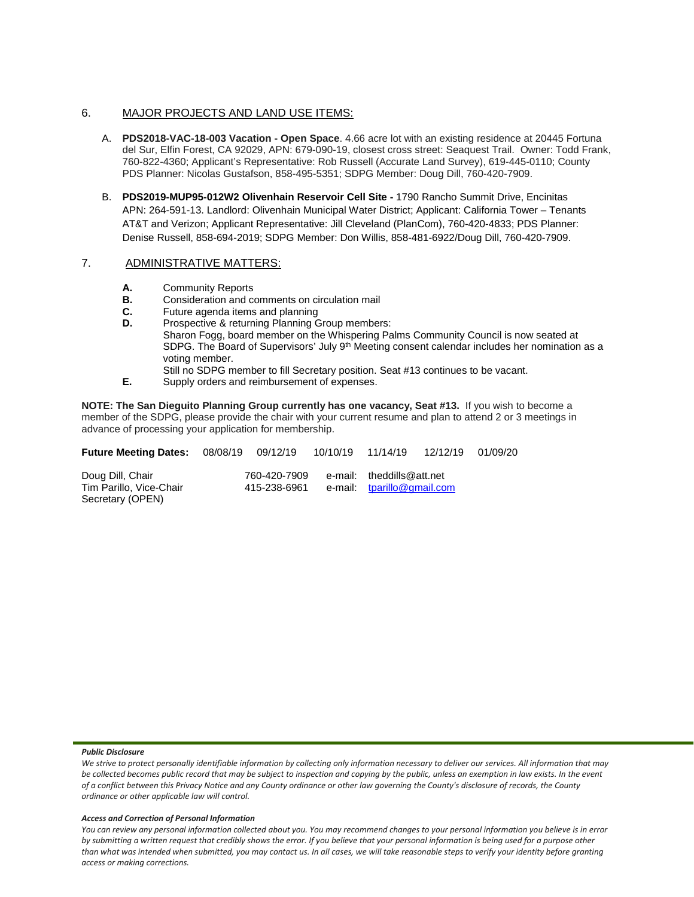### 6. MAJOR PROJECTS AND LAND USE ITEMS:

- A. **PDS2018-VAC-18-003 Vacation - Open Space**. 4.66 acre lot with an existing residence at 20445 Fortuna del Sur, Elfin Forest, CA 92029, APN: 679-090-19, closest cross street: Seaquest Trail. Owner: Todd Frank, 760-822-4360; Applicant's Representative: Rob Russell (Accurate Land Survey), 619-445-0110; County PDS Planner: Nicolas Gustafson, 858-495-5351; SDPG Member: Doug Dill, 760-420-7909.
- B. **PDS2019-MUP95-012W2 Olivenhain Reservoir Cell Site -** 1790 Rancho Summit Drive, Encinitas APN: 264-591-13. Landlord: Olivenhain Municipal Water District; Applicant: California Tower – Tenants AT&T and Verizon; Applicant Representative: Jill Cleveland (PlanCom), 760-420-4833; PDS Planner: Denise Russell, 858-694-2019; SDPG Member: Don Willis, 858-481-6922/Doug Dill, 760-420-7909.

## 7. ADMINISTRATIVE MATTERS:

- 
- **A.** Community Reports<br>**B.** Consideration and com-**B.** Consideration and comments on circulation mail<br>**C.** Future agenda items and planning
- **C.** Future agenda items and planning<br>**D.** Prospective & returning Planning G.
- Prospective & returning Planning Group members: Sharon Fogg, board member on the Whispering Palms Community Council is now seated at SDPG. The Board of Supervisors' July 9<sup>th</sup> Meeting consent calendar includes her nomination as a voting member. Still no SDPG member to fill Secretary position. Seat #13 continues to be vacant.
- **E.** Supply orders and reimbursement of expenses.

**NOTE: The San Dieguito Planning Group currently has one vacancy, Seat #13.** If you wish to become a member of the SDPG, please provide the chair with your current resume and plan to attend 2 or 3 meetings in advance of processing your application for membership.

| <b>Future Meeting Dates:</b>                                    |                              | 08/08/19 09/12/19 | 10/10/19 | 11/14/19                                                | 12/12/19 | 01/09/20 |
|-----------------------------------------------------------------|------------------------------|-------------------|----------|---------------------------------------------------------|----------|----------|
| Doug Dill, Chair<br>Tim Parillo, Vice-Chair<br>Secretary (OPEN) | 760-420-7909<br>415-238-6961 |                   |          | e-mail: theddills@att.net<br>e-mail: tparillo@gmail.com |          |          |

#### *Public Disclosure*

#### *Access and Correction of Personal Information*

We strive to protect personally identifiable information by collecting only information necessary to deliver our services. All information that may *be collected becomes public record that may be subject to inspection and copying by the public, unless an exemption in law exists. In the event of a conflict between this Privacy Notice and any County ordinance or other law governing the County's disclosure of records, the County ordinance or other applicable law will control.*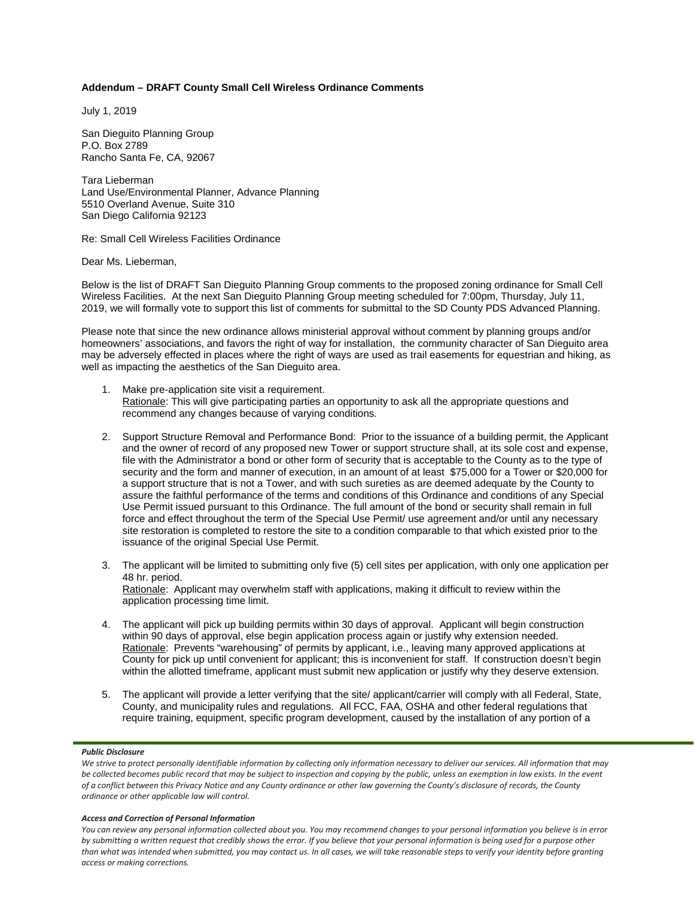### **Addendum – DRAFT County Small Cell Wireless Ordinance Comments**

July 1, 2019

San Dieguito Planning Group P.O. Box 2789 Rancho Santa Fe, CA, 92067

Tara Lieberman Land Use/Environmental Planner, Advance Planning 5510 Overland Avenue, Suite 310 San Diego California 92123

Re: Small Cell Wireless Facilities Ordinance

Dear Ms. Lieberman,

Below is the list of DRAFT San Dieguito Planning Group comments to the proposed zoning ordinance for Small Cell Wireless Facilities. At the next San Dieguito Planning Group meeting scheduled for 7:00pm, Thursday, July 11, 2019, we will formally vote to support this list of comments for submittal to the SD County PDS Advanced Planning.

Please note that since the new ordinance allows ministerial approval without comment by planning groups and/or homeowners' associations, and favors the right of way for installation, the community character of San Dieguito area may be adversely effected in places where the right of ways are used as trail easements for equestrian and hiking, as well as impacting the aesthetics of the San Dieguito area.

- 1. Make pre-application site visit a requirement. Rationale: This will give participating parties an opportunity to ask all the appropriate questions and recommend any changes because of varying conditions.
- 2. Support Structure Removal and Performance Bond: Prior to the issuance of a building permit, the Applicant and the owner of record of any proposed new Tower or support structure shall, at its sole cost and expense, file with the Administrator a bond or other form of security that is acceptable to the County as to the type of security and the form and manner of execution, in an amount of at least \$75,000 for a Tower or \$20,000 for a support structure that is not a Tower, and with such sureties as are deemed adequate by the County to assure the faithful performance of the terms and conditions of this Ordinance and conditions of any Special Use Permit issued pursuant to this Ordinance. The full amount of the bond or security shall remain in full force and effect throughout the term of the Special Use Permit/ use agreement and/or until any necessary site restoration is completed to restore the site to a condition comparable to that which existed prior to the issuance of the original Special Use Permit.
- 3. The applicant will be limited to submitting only five (5) cell sites per application, with only one application per 48 hr. period. Rationale: Applicant may overwhelm staff with applications, making it difficult to review within the application processing time limit.
- 4. The applicant will pick up building permits within 30 days of approval. Applicant will begin construction within 90 days of approval, else begin application process again or justify why extension needed. Rationale: Prevents "warehousing" of permits by applicant, i.e., leaving many approved applications at County for pick up until convenient for applicant; this is inconvenient for staff. If construction doesn't begin within the allotted timeframe, applicant must submit new application or justify why they deserve extension.
- 5. The applicant will provide a letter verifying that the site/ applicant/carrier will comply with all Federal, State, County, and municipality rules and regulations. All FCC, FAA, OSHA and other federal regulations that require training, equipment, specific program development, caused by the installation of any portion of a

#### *Public Disclosure*

#### *Access and Correction of Personal Information*

We strive to protect personally identifiable information by collecting only information necessary to deliver our services. All information that may *be collected becomes public record that may be subject to inspection and copying by the public, unless an exemption in law exists. In the event of a conflict between this Privacy Notice and any County ordinance or other law governing the County's disclosure of records, the County ordinance or other applicable law will control.*